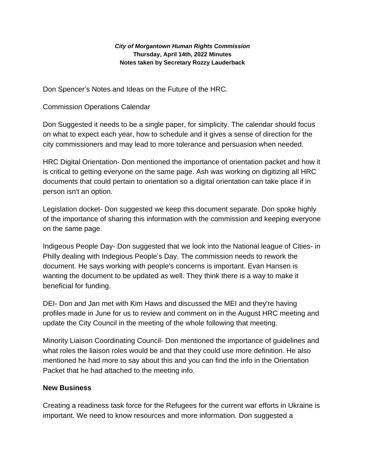#### *City of Morgantown Human Rights Commission* **Thursday, April 14th, 2022 Minutes Notes taken by Secretary Rozzy Lauderback**

Don Spencer's Notes and Ideas on the Future of the HRC.

# Commission Operations Calendar

Don Suggested it needs to be a single paper, for simplicity. The calendar should focus on what to expect each year, how to schedule and it gives a sense of direction for the city commissioners and may lead to more tolerance and persuasion when needed.

HRC Digital Orientation- Don mentioned the importance of orientation packet and how it is critical to getting everyone on the same page. Ash was working on digitizing all HRC documents that could pertain to orientation so a digital orientation can take place if in person isn't an option.

Legislation docket- Don suggested we keep this document separate. Don spoke highly of the importance of sharing this information with the commission and keeping everyone on the same page.

Indigeous People Day- Don suggested that we look into the National league of Cities- in Philly dealing with Indegious People's Day. The commission needs to rework the document. He says working with people's concerns is important. Evan Hansen is wanting the document to be updated as well. They think there is a way to make it beneficial for funding.

DEI- Don and Jan met with Kim Haws and discussed the MEI and they're having profiles made in June for us to review and comment on in the August HRC meeting and update the City Council in the meeting of the whole following that meeting.

Minority Liaison Coordinating Council- Don mentioned the importance of guidelines and what roles the liaison roles would be and that they could use more definition. He also mentioned he had more to say about this and you can find the info in the Orientation Packet that he had attached to the meeting info.

## **New Business**

Creating a readiness task force for the Refugees for the current war efforts in Ukraine is important. We need to know resources and more information. Don suggested a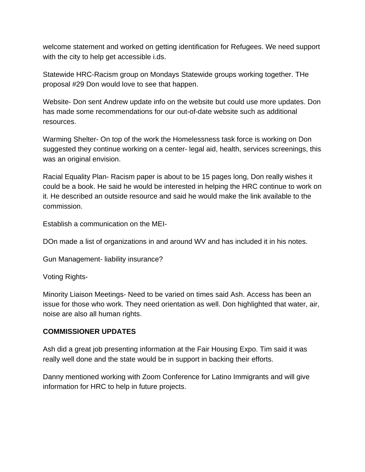welcome statement and worked on getting identification for Refugees. We need support with the city to help get accessible i.ds.

Statewide HRC-Racism group on Mondays Statewide groups working together. THe proposal #29 Don would love to see that happen.

Website- Don sent Andrew update info on the website but could use more updates. Don has made some recommendations for our out-of-date website such as additional resources.

Warming Shelter- On top of the work the Homelessness task force is working on Don suggested they continue working on a center- legal aid, health, services screenings, this was an original envision.

Racial Equality Plan- Racism paper is about to be 15 pages long, Don really wishes it could be a book. He said he would be interested in helping the HRC continue to work on it. He described an outside resource and said he would make the link available to the commission.

Establish a communication on the MEI-

DOn made a list of organizations in and around WV and has included it in his notes.

Gun Management- liability insurance?

Voting Rights-

Minority Liaison Meetings- Need to be varied on times said Ash. Access has been an issue for those who work. They need orientation as well. Don highlighted that water, air, noise are also all human rights.

## **COMMISSIONER UPDATES**

Ash did a great job presenting information at the Fair Housing Expo. Tim said it was really well done and the state would be in support in backing their efforts.

Danny mentioned working with Zoom Conference for Latino Immigrants and will give information for HRC to help in future projects.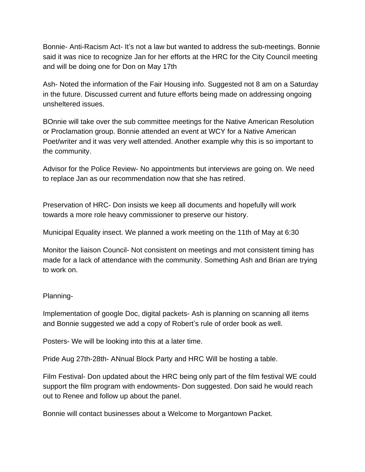Bonnie- Anti-Racism Act- It's not a law but wanted to address the sub-meetings. Bonnie said it was nice to recognize Jan for her efforts at the HRC for the City Council meeting and will be doing one for Don on May 17th

Ash- Noted the information of the Fair Housing info. Suggested not 8 am on a Saturday in the future. Discussed current and future efforts being made on addressing ongoing unsheltered issues.

BOnnie will take over the sub committee meetings for the Native American Resolution or Proclamation group. Bonnie attended an event at WCY for a Native American Poet/writer and it was very well attended. Another example why this is so important to the community.

Advisor for the Police Review- No appointments but interviews are going on. We need to replace Jan as our recommendation now that she has retired.

Preservation of HRC- Don insists we keep all documents and hopefully will work towards a more role heavy commissioner to preserve our history.

Municipal Equality insect. We planned a work meeting on the 11th of May at 6:30

Monitor the liaison Council- Not consistent on meetings and mot consistent timing has made for a lack of attendance with the community. Something Ash and Brian are trying to work on.

### Planning-

Implementation of google Doc, digital packets- Ash is planning on scanning all items and Bonnie suggested we add a copy of Robert's rule of order book as well.

Posters- We will be looking into this at a later time.

Pride Aug 27th-28th- ANnual Block Party and HRC Will be hosting a table.

Film Festival- Don updated about the HRC being only part of the film festival WE could support the film program with endowments- Don suggested. Don said he would reach out to Renee and follow up about the panel.

Bonnie will contact businesses about a Welcome to Morgantown Packet.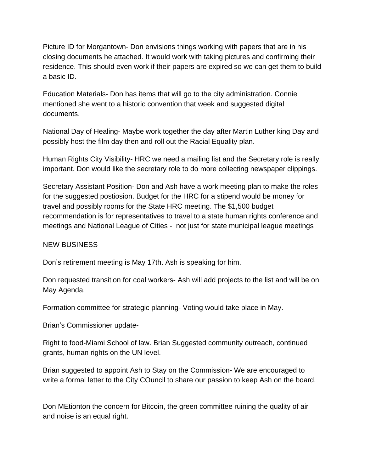Picture ID for Morgantown- Don envisions things working with papers that are in his closing documents he attached. It would work with taking pictures and confirming their residence. This should even work if their papers are expired so we can get them to build a basic ID.

Education Materials- Don has items that will go to the city administration. Connie mentioned she went to a historic convention that week and suggested digital documents.

National Day of Healing- Maybe work together the day after Martin Luther king Day and possibly host the film day then and roll out the Racial Equality plan.

Human Rights City Visibility- HRC we need a mailing list and the Secretary role is really important. Don would like the secretary role to do more collecting newspaper clippings.

Secretary Assistant Position- Don and Ash have a work meeting plan to make the roles for the suggested postiosion. Budget for the HRC for a stipend would be money for travel and possibly rooms for the State HRC meeting. The \$1,500 budget recommendation is for representatives to travel to a state human rights conference and meetings and National League of Cities - not just for state municipal league meetings

### NEW BUSINESS

Don's retirement meeting is May 17th. Ash is speaking for him.

Don requested transition for coal workers- Ash will add projects to the list and will be on May Agenda.

Formation committee for strategic planning- Voting would take place in May.

Brian's Commissioner update-

Right to food-Miami School of law. Brian Suggested community outreach, continued grants, human rights on the UN level.

Brian suggested to appoint Ash to Stay on the Commission- We are encouraged to write a formal letter to the City COuncil to share our passion to keep Ash on the board.

Don MEtionton the concern for Bitcoin, the green committee ruining the quality of air and noise is an equal right.